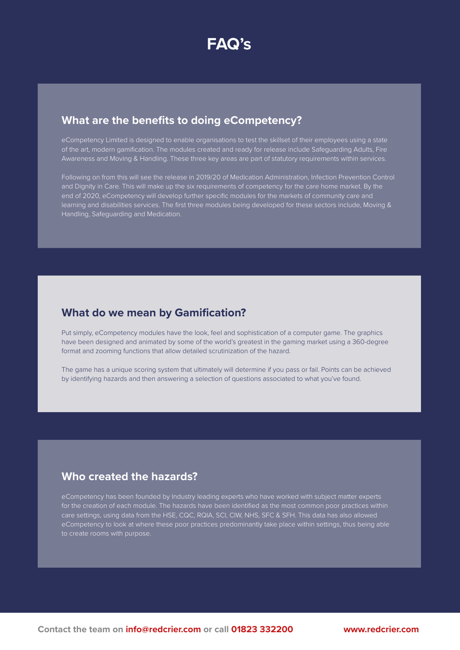## **What are the benefits to doing eCompetency?**

eCompetency Limited is designed to enable organisations to test the skillset of their employees using a state of the art, modern gamification. The modules created and ready for release include Safeguarding Adults, Fire Awareness and Moving & Handling. These three key areas are part of statutory requirements within services.

Following on from this will see the release in 2019/20 of Medication Administration, Infection Prevention Control and Dignity in Care. This will make up the six requirements of competency for the care home market. By the end of 2020, eCompetency will develop further specific modules for the markets of community care and learning and disabilities services. The first three modules being developed for these sectors include, Moving & Handling, Safeguarding and Medication.

## **What do we mean by Gamification?**

Put simply, eCompetency modules have the look, feel and sophistication of a computer game. The graphics have been designed and animated by some of the world's greatest in the gaming market using a 360-degree format and zooming functions that allow detailed scrutinization of the hazard.

The game has a unique scoring system that ultimately will determine if you pass or fail. Points can be achieved by identifying hazards and then answering a selection of questions associated to what you've found.

## **Who created the hazards?**

eCompetency has been founded by Industry leading experts who have worked with subject matter experts for the creation of each module. The hazards have been identified as the most common poor practices within care settings, using data from the HSE, CQC, RQIA, SCI, CIW, NHS, SFC & SFH. This data has also allowed eCompetency to look at where these poor practices predominantly take place within settings, thus being able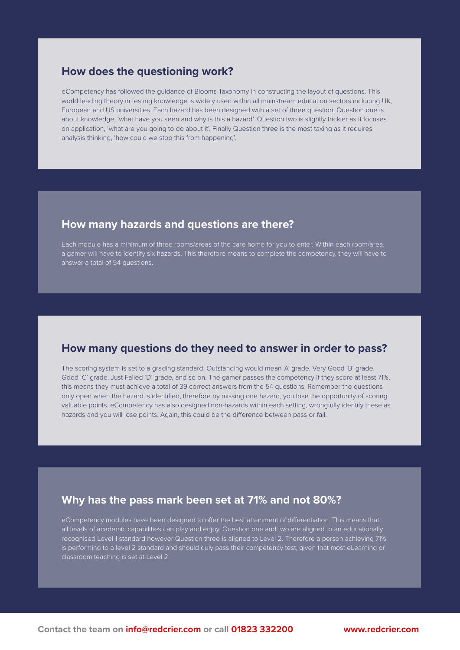#### **How does the questioning work?**

eCompetency has followed the guidance of Blooms Taxonomy in constructing the layout of questions. This world leading theory in testing knowledge is widely used within all mainstream education sectors including UK, European and US universities. Each hazard has been designed with a set of three question. Question one is about knowledge, 'what have you seen and why is this a hazard'. Question two is slightly trickier as it focuses on application, 'what are you going to do about it'. Finally Question three is the most taxing as it requires analysis thinking, 'how could we stop this from happening'.

### **How many hazards and questions are there?**

Each module has a minimum of three rooms/areas of the care home for you to enter. Within each room/area, a gamer will have to identify six hazards. This therefore means to complete the competency, they will have to answer a total of 54 questions.

### **How many questions do they need to answer in order to pass?**

The scoring system is set to a grading standard. Outstanding would mean 'A' grade. Very Good 'B' grade. Good 'C' grade. Just Failed 'D' grade, and so on. The gamer passes the competency if they score at least 71%, this means they must achieve a total of 39 correct answers from the 54 questions. Remember the questions only open when the hazard is identified, therefore by missing one hazard, you lose the opportunity of scoring valuable points. eCompetency has also designed non-hazards within each setting, wrongfully identify these as hazards and you will lose points. Again, this could be the difference between pass or fail.

### **Why has the pass mark been set at 71% and not 80%?**

eCompetency modules have been designed to offer the best attainment of differentiation. This means that all levels of academic capabilities can play and enjoy. Question one and two are aligned to an educationally recognised Level 1 standard however Question three is aligned to Level 2. Therefore a person achieving 71% is performing to a level 2 standard and should duly pass their competency test, given that most eLearning or classroom teaching is set at Level 2.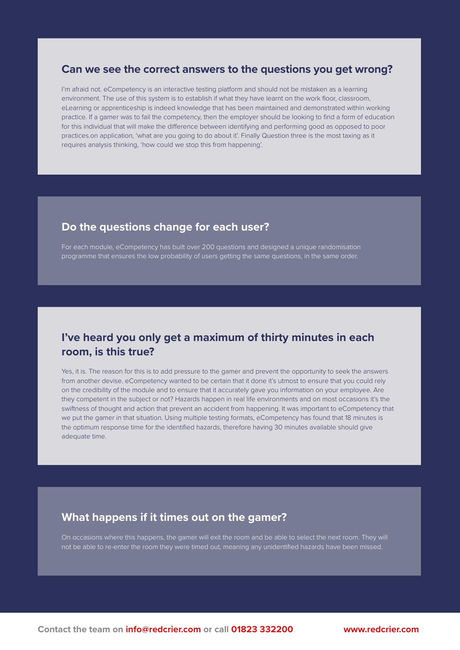#### **Can we see the correct answers to the questions you get wrong?**

I'm afraid not. eCompetency is an interactive testing platform and should not be mistaken as a learning environment. The use of this system is to establish if what they have learnt on the work floor, classroom, eLearning or apprenticeship is indeed knowledge that has been maintained and demonstrated within working practice. If a gamer was to fail the competency, then the employer should be looking to find a form of education for this individual that will make the difference between identifying and performing good as opposed to poor practices.on application, 'what are you going to do about it'. Finally Question three is the most taxing as it requires analysis thinking, 'how could we stop this from happening'.

### **Do the questions change for each user?**

For each module, eCompetency has built over 200 questions and designed a unique randomisation programme that ensures the low probability of users getting the same questions, in the same order.

## **I've heard you only get a maximum of thirty minutes in each room, is this true?**

Yes, it is. The reason for this is to add pressure to the gamer and prevent the opportunity to seek the answers from another devise. eCompetency wanted to be certain that it done it's utmost to ensure that you could rely on the credibility of the module and to ensure that it accurately gave you information on your employee. Are they competent in the subject or not? Hazards happen in real life environments and on most occasions it's the swiftness of thought and action that prevent an accident from happening. It was important to eCompetency that we put the gamer in that situation. Using multiple testing formats, eCompetency has found that 18 minutes is the optimum response time for the identified hazards, therefore having 30 minutes available should give adequate time.

### **What happens if it times out on the gamer?**

On occasions where this happens, the gamer will exit the room and be able to select the next room. They will not be able to re-enter the room they were timed out, meaning any unidentified hazards have been missed.